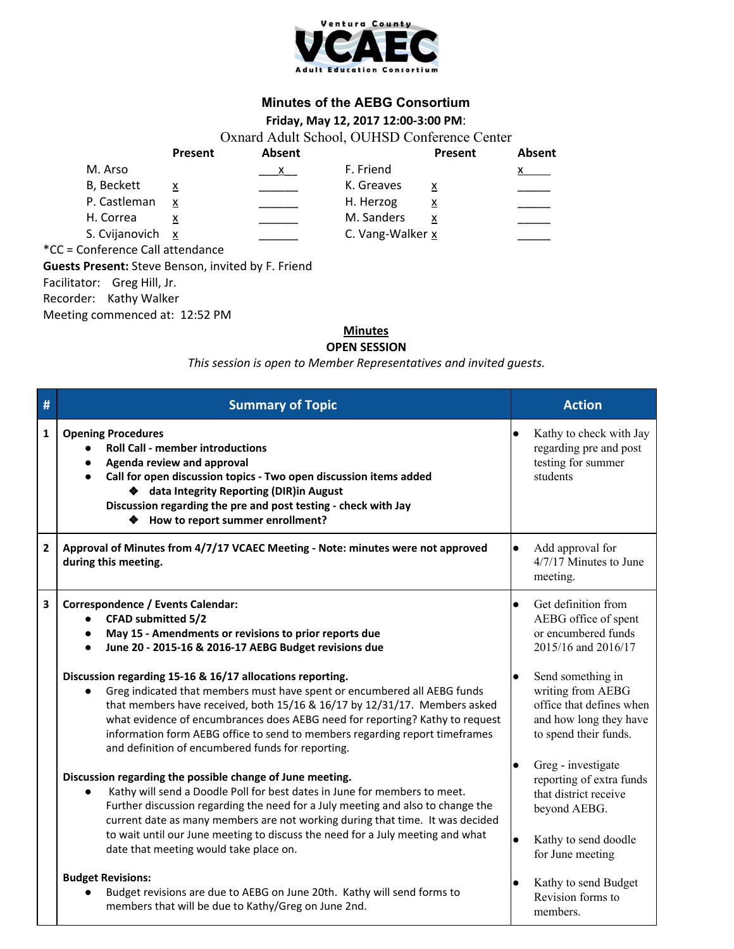

## **Minutes of the AEBG Consortium**

## **Friday, May 12, 2017 12:00-3:00 PM**:

Oxnard Adult School, OUHSD Conference Center

|                                | Present | Absent       |                  | Present  | Absent |
|--------------------------------|---------|--------------|------------------|----------|--------|
| M. Arso                        |         | $\mathbf{x}$ | F. Friend        |          |        |
| <b>B</b> , Beckett             | x       |              | K. Greaves       | x        |        |
| P. Castleman                   | x       |              | H. Herzog        | <u>x</u> |        |
| H. Correa                      |         |              | M. Sanders       |          |        |
| S. Cvijanovich x               |         |              | C. Vang-Walker x |          |        |
| C - Conforonco Call attondanco |         |              |                  |          |        |

\*CC = Conference Call attendance **Guests Present:** Steve Benson, invited by F. Friend Facilitator: Greg Hill, Jr. Recorder: Kathy Walker

Meeting commenced at: 12:52 PM

## **Minutes**

**OPEN SESSION**

*This session is open to Member Representatives and invited guests.*

| # | <b>Summary of Topic</b>                                                                                                                                                                                                                                                                                                                                                                                                                | <b>Action</b>                                                                                                                             |  |
|---|----------------------------------------------------------------------------------------------------------------------------------------------------------------------------------------------------------------------------------------------------------------------------------------------------------------------------------------------------------------------------------------------------------------------------------------|-------------------------------------------------------------------------------------------------------------------------------------------|--|
| 1 | <b>Opening Procedures</b><br><b>Roll Call - member introductions</b><br>Agenda review and approval<br>$\bullet$<br>Call for open discussion topics - Two open discussion items added<br>$\bullet$<br>♦ data Integrity Reporting (DIR) in August<br>Discussion regarding the pre and post testing - check with Jay<br>♦ How to report summer enrollment?                                                                                | Kathy to check with Jay<br>$\bullet$<br>regarding pre and post<br>testing for summer<br>students                                          |  |
| 2 | Approval of Minutes from 4/7/17 VCAEC Meeting - Note: minutes were not approved<br>during this meeting.                                                                                                                                                                                                                                                                                                                                | Add approval for<br>$\bullet$<br>4/7/17 Minutes to June<br>meeting.                                                                       |  |
| 3 | Correspondence / Events Calendar:<br><b>CFAD submitted 5/2</b><br>$\bullet$<br>May 15 - Amendments or revisions to prior reports due<br>$\bullet$<br>June 20 - 2015-16 & 2016-17 AEBG Budget revisions due<br>$\bullet$                                                                                                                                                                                                                | Get definition from<br>$\bullet$<br>AEBG office of spent<br>or encumbered funds<br>2015/16 and 2016/17                                    |  |
|   | Discussion regarding 15-16 & 16/17 allocations reporting.<br>Greg indicated that members must have spent or encumbered all AEBG funds<br>that members have received, both 15/16 & 16/17 by 12/31/17. Members asked<br>what evidence of encumbrances does AEBG need for reporting? Kathy to request<br>information form AEBG office to send to members regarding report timeframes<br>and definition of encumbered funds for reporting. | Send something in<br>$\bullet$<br>writing from AEBG<br>office that defines when<br>and how long they have<br>to spend their funds.        |  |
|   | Discussion regarding the possible change of June meeting.<br>Kathy will send a Doodle Poll for best dates in June for members to meet.<br>Further discussion regarding the need for a July meeting and also to change the<br>current date as many members are not working during that time. It was decided<br>to wait until our June meeting to discuss the need for a July meeting and what                                           | Greg - investigate<br>$\bullet$<br>reporting of extra funds<br>that district receive<br>beyond AEBG.<br>Kathy to send doodle<br>$\bullet$ |  |
|   | date that meeting would take place on.<br><b>Budget Revisions:</b><br>Budget revisions are due to AEBG on June 20th. Kathy will send forms to<br>members that will be due to Kathy/Greg on June 2nd.                                                                                                                                                                                                                                   | for June meeting<br>Kathy to send Budget<br>$\bullet$<br>Revision forms to<br>members.                                                    |  |